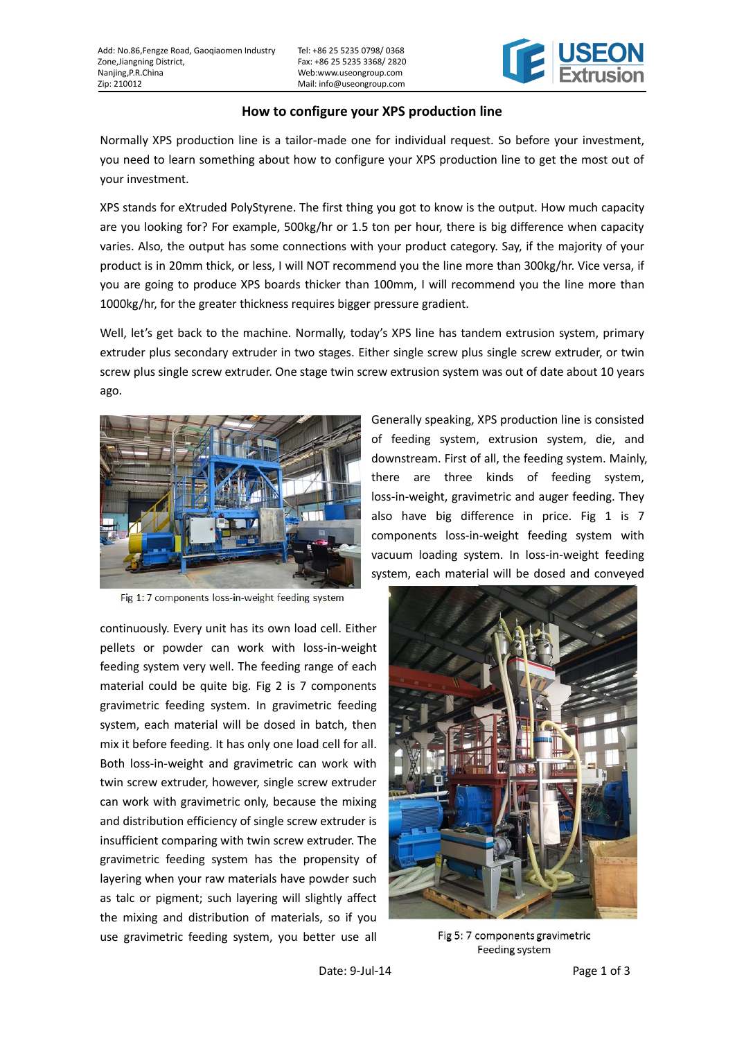Tel: +86 25 5235 0798/ 0368 Fax: +86 25 5235 3368/ 2820 Web:www.useongroup.com Mail: info@useongroup.com



## **How to configure your XPS production line**

Normally XPS production line is a tailor-made one for individual request. So before your investment, you need to learn something about how to configure your XPS production line to get the most out of your investment.

XPS stands for eXtruded PolyStyrene. The first thing you got to know is the output. How much capacity are you looking for? For example, 500kg/hr or 1.5 ton per hour, there is big difference when capacity varies. Also, the output has some connections with your product category. Say, if the majority of your product is in 20mm thick, or less, I will NOT recommend you the line more than 300kg/hr. Vice versa, if you are going to produce XPS boards thicker than 100mm, I will recommend you the line more than 1000kg/hr, for the greater thickness requires bigger pressure gradient.

Well, let**'**s get back to the machine. Normally, today**'**s XPS line has tandem extrusion system, primary extruder plus secondary extruder in two stages. Either single screw plus single screw extruder, or twin screw plus single screw extruder. One stage twin screw extrusion system was out of date about 10 years ago.



Fig 1: 7 components loss-in-weight feeding system

continuously. Every unit has its own load cell. Either pellets or powder can work with loss-in-weight feeding system very well. The feeding range of each material could be quite big. Fig 2 is 7 components gravimetric feeding system. In gravimetric feeding system, each material will be dosed in batch, then mix it before feeding. It has only one load cell for all. Both loss-in-weight and gravimetric can work with twin screw extruder, however, single screw extruder can work with gravimetric only, because the mixing and distribution efficiency of single screw extruder is insufficient comparing with twin screw extruder. The gravimetric feeding system has the propensity of layering when your raw materials have powder such as talc or pigment; such layering will slightly affect the mixing and distribution of materials, so if you use gravimetric feeding system, you better use all

Generally speaking, XPS production line is consisted of feeding system, extrusion system, die, and downstream. First of all, the feeding system. Mainly, there are three kinds of feeding system, loss-in-weight, gravimetric and auger feeding. They also have big difference in price. Fig 1 is 7 components loss-in-weight feeding system with vacuum loading system. In loss-in-weight feeding system, each material will be dosed and conveyed



Fig 5: 7 components gravimetric Feeding system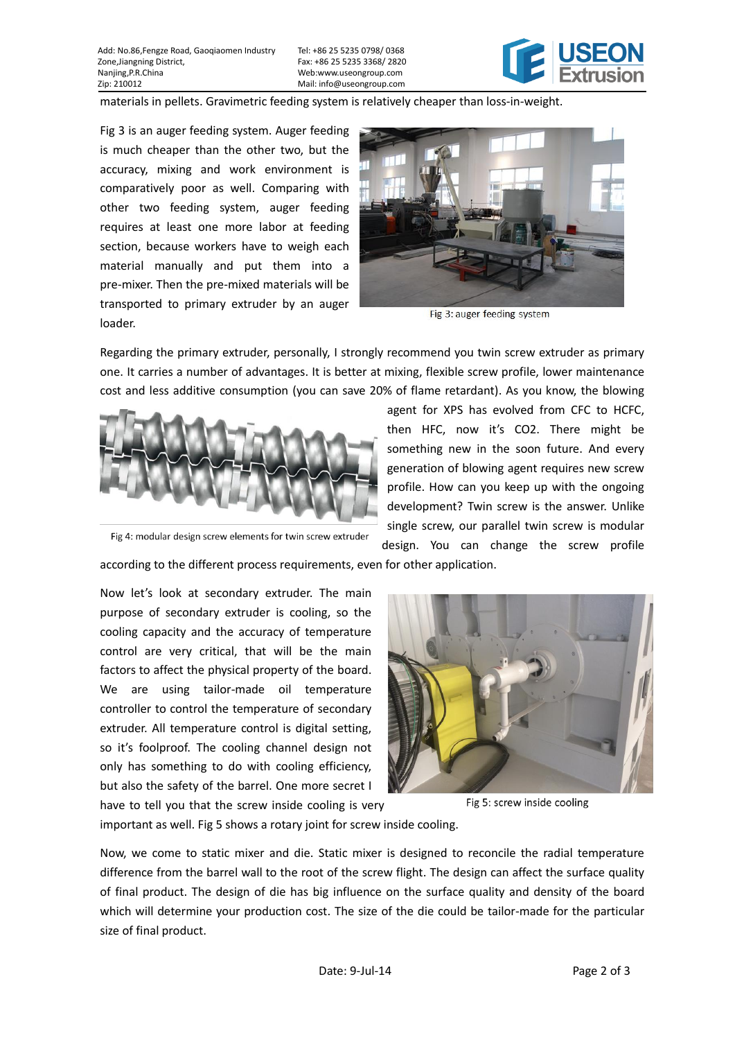Add: No.86,Fengze Road, Gaoqiaomen Industry Zone,Jiangning District, Nanjing,P.R.China Zip: 210012

Tel: +86 25 5235 0798/ 0368 Fax: +86 25 5235 3368/ 2820 Web:www.useongroup.com Mail: info@useongroup.com



materials in pellets. Gravimetric feeding system is relatively cheaper than loss-in-weight.

Fig 3 is an auger feeding system. Auger feeding is much cheaper than the other two, but the accuracy, mixing and work environment is comparatively poor as well. Comparing with other two feeding system, auger feeding requires at least one more labor at feeding section, because workers have to weigh each material manually and put them into a pre-mixer. Then the pre-mixed materials will be transported to primary extruder by an auger loader.



Fig 3: auger feeding system

Regarding the primary extruder, personally, I strongly recommend you twin screw extruder as primary one. It carries a number of advantages. It is better at mixing, flexible screw profile, lower maintenance cost and less additive consumption (you can save 20% of flame retardant). As you know, the blowing



Fig 4: modular design screw elements for twin screw extruder

according to the different process requirements, even for other application.

Now let**'**s look at secondary extruder. The main purpose of secondary extruder is cooling, so the cooling capacity and the accuracy of temperature control are very critical, that will be the main factors to affect the physical property of the board. We are using tailor-made oil temperature controller to control the temperature of secondary extruder. All temperature control is digital setting, so it**'**s foolproof. The cooling channel design not only has something to do with cooling efficiency, but also the safety of the barrel. One more secret I have to tell you that the screw inside cooling is very



design. You can change the screw profile

Fig 5: screw inside cooling

important as well. Fig 5 shows a rotary joint for screw inside cooling.

Now, we come to static mixer and die. Static mixer is designed to reconcile the radial temperature difference from the barrel wall to the root of the screw flight. The design can affect the surface quality of final product. The design of die has big influence on the surface quality and density of the board which will determine your production cost. The size of the die could be tailor-made for the particular size of final product.